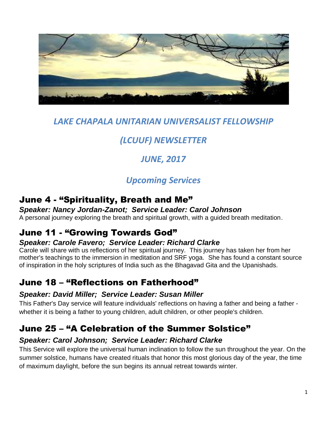

## *LAKE CHAPALA UNITARIAN UNIVERSALIST FELLOWSHIP*

# *(LCUUF) NEWSLETTER*

# *JUNE, 2017*

# *Upcoming Services*

## June 4 - "Spirituality, Breath and Me"

#### *Speaker: Nancy Jordan-Zanot; Service Leader: Carol Johnson*  A personal journey exploring the breath and spiritual growth, with a guided breath meditation.

## June 11 - "Growing Towards God"

### *Speaker: Carole Favero; Service Leader: Richard Clarke*

Carole will share with us reflections of her spiritual journey. This journey has taken her from her mother's teachings to the immersion in meditation and SRF yoga. She has found a constant source of inspiration in the holy scriptures of India such as the Bhagavad Gita and the Upanishads.

## June 18 – "Reflections on Fatherhood"

### *Speaker: David Miller; Service Leader: Susan Miller*

This Father's Day service will feature individuals' reflections on having a father and being a father whether it is being a father to young children, adult children, or other people's children.

## June 25 – "A Celebration of the Summer Solstice"

### *Speaker: Carol Johnson; Service Leader: Richard Clarke*

This Service will explore the universal human inclination to follow the sun throughout the year. On the summer solstice, humans have created rituals that honor this most glorious day of the year, the time of maximum daylight, before the sun begins its annual retreat towards winter.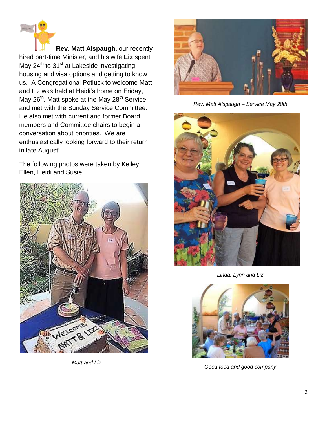**Rev. Matt Alspaugh,** our recently hired part-time Minister, and his wife **Liz** spent May 24<sup>th</sup> to 31<sup>st</sup> at Lakeside investigating housing and visa options and getting to know us. A Congregational Potluck to welcome Matt and Liz was held at Heidi's home on Friday, May 26<sup>th</sup>. Matt spoke at the May 28<sup>th</sup> Service and met with the Sunday Service Committee. He also met with current and former Board members and Committee chairs to begin a conversation about priorities. We are enthusiastically looking forward to their return in late August!

The following photos were taken by Kelley, Ellen, Heidi and Susie.



*Matt and Liz*



*Rev. Matt Alspaugh – Service May 28th*



*Linda, Lynn and Liz*



*Good food and good company*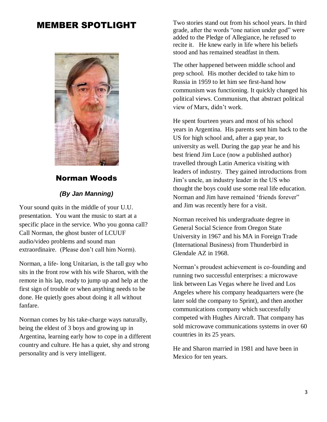### MEMBER SPOTLIGHT



#### Norman Woods

#### *(By Jan Manning)*

Your sound quits in the middle of your U.U. presentation. You want the music to start at a specific place in the service. Who you gonna call? Call Norman, the ghost buster of LCUUF audio/video problems and sound man extraordinaire. (Please don't call him Norm).

Norman, a life- long Unitarian, is the tall guy who sits in the front row with his wife Sharon, with the remote in his lap, ready to jump up and help at the first sign of trouble or when anything needs to be done. He quietly goes about doing it all without fanfare.

Norman comes by his take-charge ways naturally, being the eldest of 3 boys and growing up in Argentina, learning early how to cope in a different country and culture. He has a quiet, shy and strong personality and is very intelligent.

Two stories stand out from his school years. In third grade, after the words "one nation under god" were added to the Pledge of Allegiance, he refused to recite it. He knew early in life where his beliefs stood and has remained steadfast in them.

The other happened between middle school and prep school. His mother decided to take him to Russia in 1959 to let him see first-hand how communism was functioning. It quickly changed his political views. Communism, that abstract political view of Marx, didn't work.

He spent fourteen years and most of his school years in Argentina. His parents sent him back to the US for high school and, after a gap year, to university as well. During the gap year he and his best friend Jim Luce (now a published author) travelled through Latin America visiting with leaders of industry. They gained introductions from Jim's uncle, an industry leader in the US who thought the boys could use some real life education. Norman and Jim have remained 'friends forever" and Jim was recently here for a visit.

Norman received his undergraduate degree in General Social Science from Oregon State University in 1967 and his MA in Foreign Trade (International Business) from Thunderbird in Glendale AZ in 1968.

Norman's proudest achievement is co-founding and running two successful enterprises: a microwave link between Las Vegas where he lived and Los Angeles where his company headquarters were (he later sold the company to Sprint), and then another communications company which successfully competed with Hughes Aircraft. That company has sold microwave communications systems in over 60 countries in its 25 years.

He and Sharon married in 1981 and have been in Mexico for ten years.